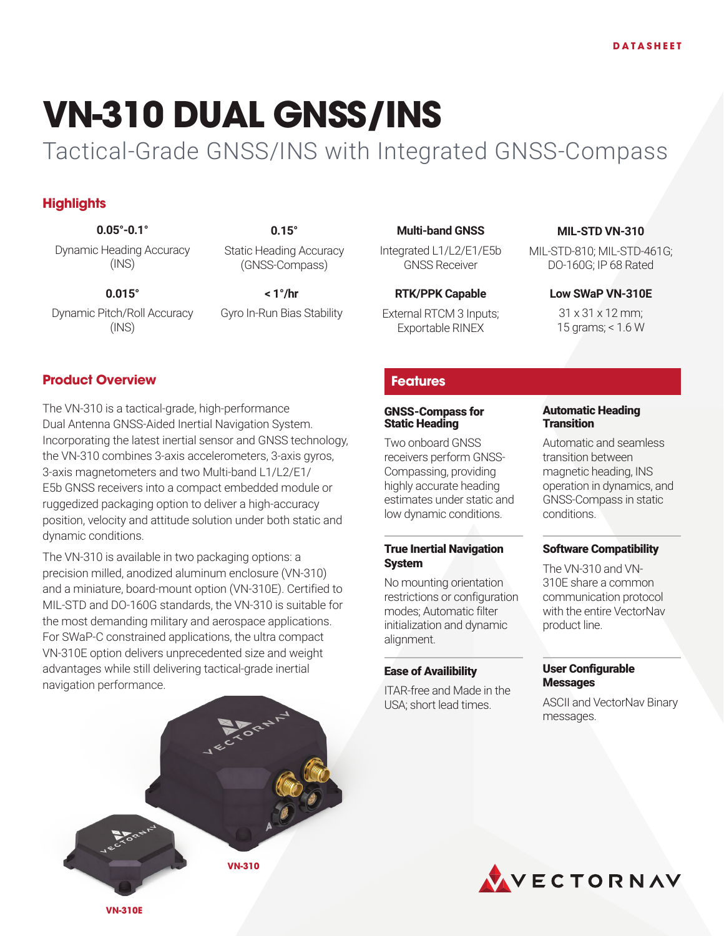# **VN-310 DUAL GNSS/INS**

Tactical-Grade GNSS/INS with Integrated GNSS-Compass

# **Highlights**

**0.05°-0.1° 0.15°**

Dynamic Heading Accuracy (INS)

**0.015° < 1°/hr**

Static Heading Accuracy (GNSS-Compass)

Dynamic Pitch/Roll Accuracy (INS)

Gyro In-Run Bias Stability

## **Multi-band GNSS**

Integrated L1/L2/E1/E5b GNSS Receiver

## **RTK/PPK Capable**

External RTCM 3 Inputs; Exportable RINEX

## **MIL-STD VN-310**

MIL-STD-810; MIL-STD-461G; DO-160G; IP 68 Rated

## **Low SWaP VN-310E**

31 x 31 x 12 mm; 15 grams; < 1.6 W

## **Product Overview**

The VN-310 is a tactical-grade, high-performance Dual Antenna GNSS-Aided Inertial Navigation System. Incorporating the latest inertial sensor and GNSS technology, the VN-310 combines 3-axis accelerometers, 3-axis gyros, 3-axis magnetometers and two Multi-band L1/L2/E1/ E5b GNSS receivers into a compact embedded module or ruggedized packaging option to deliver a high-accuracy position, velocity and attitude solution under both static and dynamic conditions.

The VN-310 is available in two packaging options: a precision milled, anodized aluminum enclosure (VN-310) and a miniature, board-mount option (VN-310E). Certified to MIL-STD and DO-160G standards, the VN-310 is suitable for the most demanding military and aerospace applications. For SWaP-C constrained applications, the ultra compact VN-310E option delivers unprecedented size and weight advantages while still delivering tactical-grade inertial navigation performance.



## **Features**

#### GNSS-Compass for Static Heading

Two onboard GNSS receivers perform GNSS-Compassing, providing highly accurate heading estimates under static and low dynamic conditions.

#### True Inertial Navigation System

No mounting orientation restrictions or configuration modes; Automatic filter initialization and dynamic alignment.

#### Ease of Availibility

ITAR-free and Made in the USA; short lead times.

#### Automatic Heading **Transition**

Automatic and seamless transition between magnetic heading, INS operation in dynamics, and GNSS-Compass in static conditions.

#### Software Compatibility

The VN-310 and VN-310E share a common communication protocol with the entire VectorNav product line.

### User Configurable **Messages**

ASCII and VectorNav Binary messages.



**VN-310E**